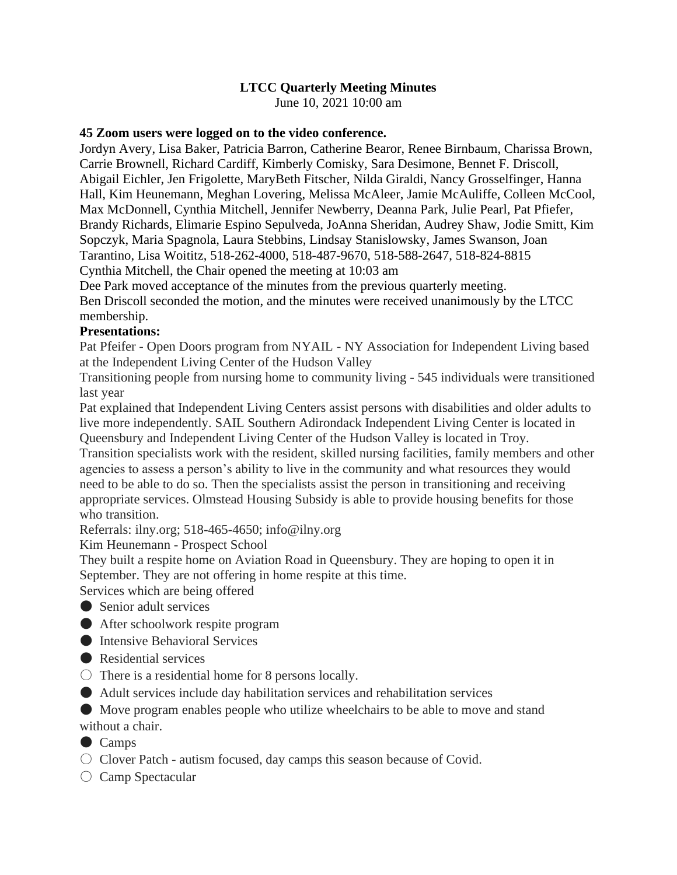# **LTCC Quarterly Meeting Minutes**

June 10, 2021 10:00 am

#### **45 Zoom users were logged on to the video conference.**

Jordyn Avery, Lisa Baker, Patricia Barron, Catherine Bearor, Renee Birnbaum, Charissa Brown, Carrie Brownell, Richard Cardiff, Kimberly Comisky, Sara Desimone, Bennet F. Driscoll, Abigail Eichler, Jen Frigolette, MaryBeth Fitscher, Nilda Giraldi, Nancy Grosselfinger, Hanna Hall, Kim Heunemann, Meghan Lovering, Melissa McAleer, Jamie McAuliffe, Colleen McCool, Max McDonnell, Cynthia Mitchell, Jennifer Newberry, Deanna Park, Julie Pearl, Pat Pfiefer, Brandy Richards, Elimarie Espino Sepulveda, JoAnna Sheridan, Audrey Shaw, Jodie Smitt, Kim Sopczyk, Maria Spagnola, Laura Stebbins, Lindsay Stanislowsky, James Swanson, Joan Tarantino, Lisa Woititz, 518-262-4000, 518-487-9670, 518-588-2647, 518-824-8815

Cynthia Mitchell, the Chair opened the meeting at 10:03 am

Dee Park moved acceptance of the minutes from the previous quarterly meeting.

Ben Driscoll seconded the motion, and the minutes were received unanimously by the LTCC membership.

#### **Presentations:**

Pat Pfeifer - Open Doors program from NYAIL - NY Association for Independent Living based at the Independent Living Center of the Hudson Valley

Transitioning people from nursing home to community living - 545 individuals were transitioned last year

Pat explained that Independent Living Centers assist persons with disabilities and older adults to live more independently. SAIL Southern Adirondack Independent Living Center is located in Queensbury and Independent Living Center of the Hudson Valley is located in Troy.

Transition specialists work with the resident, skilled nursing facilities, family members and other agencies to assess a person's ability to live in the community and what resources they would need to be able to do so. Then the specialists assist the person in transitioning and receiving appropriate services. Olmstead Housing Subsidy is able to provide housing benefits for those who transition.

Referrals: ilny.org; 518-465-4650; info@ilny.org

Kim Heunemann - Prospect School

They built a respite home on Aviation Road in Queensbury. They are hoping to open it in September. They are not offering in home respite at this time.

Services which are being offered

- Senior adult services
- After schoolwork respite program
- Intensive Behavioral Services
- Residential services
- $\circ$  There is a residential home for 8 persons locally.
- Adult services include day habilitation services and rehabilitation services

● Move program enables people who utilize wheelchairs to be able to move and stand

without a chair.

- Camps
- $\circlearrowright$  Clover Patch autism focused, day camps this season because of Covid.

 $\bigcirc$  Camp Spectacular